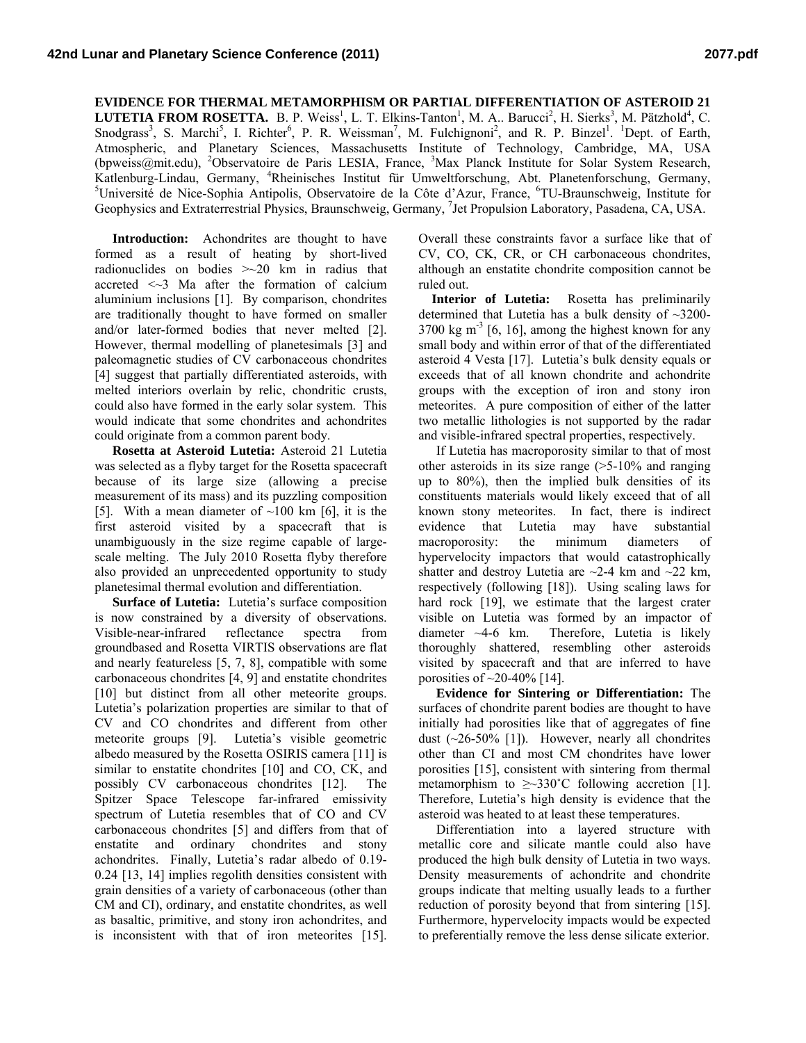## **EVIDENCE FOR THERMAL METAMORPHISM OR PARTIAL DIFFERENTIATION OF ASTEROID 21 LUTETIA FROM ROSETTA.** B. P. Weiss<sup>1</sup>, L. T. Elkins-Tanton<sup>1</sup>, M. A.. Barucci<sup>2</sup>, H. Sierks<sup>3</sup>, M. Pätzhold<sup>4</sup>, C. Snodgrass<sup>3</sup>, S. Marchi<sup>5</sup>, I. Richter<sup>6</sup>, P. R. Weissman<sup>7</sup>, M. Fulchignoni<sup>2</sup>, and R. P. Binzel<sup>1</sup>. <sup>1</sup>Dept. of Earth, Atmospheric, and Planetary Sciences, Massachusetts Institute of Technology, Cambridge, MA, USA (bpweiss@mit.edu), <sup>2</sup>Observatoire de Paris LESIA, France, <sup>3</sup>Max Planck Institute for Solar System Research, Katlenburg-Lindau, Germany, <sup>4</sup>Rheinisches Institut für Umweltforschung, Abt. Planetenforschung, Germany, 5<sup>5</sup>Université de Nieo Sophie Antipolis, Observatoire de la Côte d'Azur, France <sup>6</sup>TU Preugeshweig, Institute for Université de Nice-Sophia Antipolis, Observatoire de la Côte d'Azur, France, <sup>6</sup>TU-Braunschweig, Institute for Geophysics and Extraterrestrial Physics, Braunschweig, Germany, <sup>7</sup>Jet Propulsion Laboratory, Pasadena, CA, USA.

**Introduction:** Achondrites are thought to have formed as a result of heating by short-lived radionuclides on bodies >~20 km in radius that accreted <~3 Ma after the formation of calcium aluminium inclusions [1]. By comparison, chondrites are traditionally thought to have formed on smaller and/or later-formed bodies that never melted [2]. However, thermal modelling of planetesimals [3] and paleomagnetic studies of CV carbonaceous chondrites [4] suggest that partially differentiated asteroids, with melted interiors overlain by relic, chondritic crusts, could also have formed in the early solar system. This would indicate that some chondrites and achondrites could originate from a common parent body.

**Rosetta at Asteroid Lutetia:** Asteroid 21 Lutetia was selected as a flyby target for the Rosetta spacecraft because of its large size (allowing a precise measurement of its mass) and its puzzling composition [5]. With a mean diameter of  $\sim$ 100 km [6], it is the first asteroid visited by a spacecraft that is unambiguously in the size regime capable of largescale melting. The July 2010 Rosetta flyby therefore also provided an unprecedented opportunity to study planetesimal thermal evolution and differentiation.

**Surface of Lutetia:** Lutetia's surface composition is now constrained by a diversity of observations. Visible-near-infrared reflectance spectra from groundbased and Rosetta VIRTIS observations are flat and nearly featureless [5, 7, 8], compatible with some carbonaceous chondrites [4, 9] and enstatite chondrites [10] but distinct from all other meteorite groups. Lutetia's polarization properties are similar to that of CV and CO chondrites and different from other meteorite groups [9]. Lutetia's visible geometric albedo measured by the Rosetta OSIRIS camera [11] is similar to enstatite chondrites [10] and CO, CK, and possibly CV carbonaceous chondrites [12]. The Spitzer Space Telescope far-infrared emissivity spectrum of Lutetia resembles that of CO and CV carbonaceous chondrites [5] and differs from that of enstatite and ordinary chondrites and stony achondrites. Finally, Lutetia's radar albedo of 0.19- 0.24 [13, 14] implies regolith densities consistent with grain densities of a variety of carbonaceous (other than CM and CI), ordinary, and enstatite chondrites, as well as basaltic, primitive, and stony iron achondrites, and is inconsistent with that of iron meteorites [15].

Overall these constraints favor a surface like that of CV, CO, CK, CR, or CH carbonaceous chondrites, although an enstatite chondrite composition cannot be ruled out.

 **Interior of Lutetia:** Rosetta has preliminarily determined that Lutetia has a bulk density of ~3200-  $3700 \text{ kg m}^3$  [6, 16], among the highest known for any small body and within error of that of the differentiated asteroid 4 Vesta [17]. Lutetia's bulk density equals or exceeds that of all known chondrite and achondrite groups with the exception of iron and stony iron meteorites. A pure composition of either of the latter two metallic lithologies is not supported by the radar and visible-infrared spectral properties, respectively.

If Lutetia has macroporosity similar to that of most other asteroids in its size range  $(>=5.10\%$  and ranging up to 80%), then the implied bulk densities of its constituents materials would likely exceed that of all known stony meteorites. In fact, there is indirect evidence that Lutetia may have substantial macroporosity: the minimum diameters of hypervelocity impactors that would catastrophically shatter and destroy Lutetia are  $\sim$ 2-4 km and  $\sim$ 22 km, respectively (following [18]). Using scaling laws for hard rock [19], we estimate that the largest crater visible on Lutetia was formed by an impactor of diameter ~4-6 km. Therefore, Lutetia is likely thoroughly shattered, resembling other asteroids visited by spacecraft and that are inferred to have porosities of  $\sim$ 20-40% [14].

**Evidence for Sintering or Differentiation:** The surfaces of chondrite parent bodies are thought to have initially had porosities like that of aggregates of fine dust  $(\sim]26-50\%$  [1]). However, nearly all chondrites other than CI and most CM chondrites have lower porosities [15], consistent with sintering from thermal metamorphism to  $\geq 330^{\circ}$ C following accretion [1]. Therefore, Lutetia's high density is evidence that the asteroid was heated to at least these temperatures.

Differentiation into a layered structure with metallic core and silicate mantle could also have produced the high bulk density of Lutetia in two ways. Density measurements of achondrite and chondrite groups indicate that melting usually leads to a further reduction of porosity beyond that from sintering [15]. Furthermore, hypervelocity impacts would be expected to preferentially remove the less dense silicate exterior.